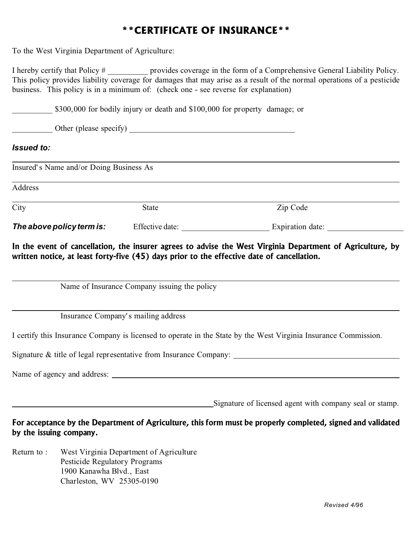## **\*\*CERTIFICATE OF INSURANCE\*\***

To the West Virginia Department of Agriculture:

I hereby certify that Policy # provides coverage in the form of a Comprehensive General Liability Policy. This policy provides liability coverage for damages that may arise as a result of the normal operations of a pesticide business. This policy is in a minimum of: (check one - see reverse for explanation)

\$300,000 for bodily injury or death and \$100,000 for property damage; or

\_\_\_\_\_\_\_\_\_\_ Other (please specify) \_\_\_\_\_\_\_\_\_\_\_\_\_\_\_\_\_\_\_\_\_\_\_\_\_\_\_\_\_\_\_\_\_\_\_\_\_\_\_\_\_

## *Issued to:*

| Insured's Name and/or Doing Business As<br>Address |                 |                  |
|----------------------------------------------------|-----------------|------------------|
|                                                    |                 |                  |
| The above policy term is:                          | Effective date: | Expiration date: |

In the event of cancellation, the insurer agrees to advise the West Virginia Department of Agriculture, by written notice, at least forty-five (45) days prior to the effective date of cancellation.

Name of Insurance Company issuing the policy

Insurance Company's mailing address

I certify this Insurance Company is licensed to operate in the State by the West Virginia Insurance Commission.

Signature & title of legal representative from Insurance Company:

Name of agency and address:

Signature of licensed agent with company seal or stamp.

For acceptance by the Department of Agriculture, this form must be properly completed, signed and validated by the issuing company.

Return to : West Virginia Department of Agriculture Pesticide Regulatory Programs 1900 Kanawha Blvd., East Charleston, WV 25305-0190